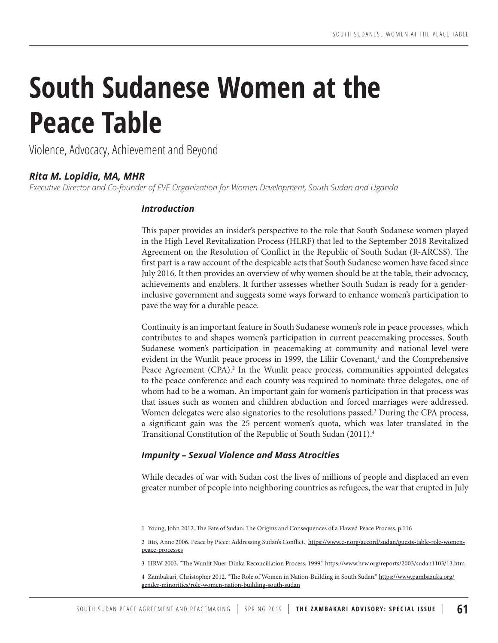# **South Sudanese Women at the Peace Table**

Violence, Advocacy, Achievement and Beyond

# *Rita M. Lopidia, MA, MHR*

*Executive Director and Co-founder of EVE Organization for Women Development, South Sudan and Uganda*

# *Introduction*

This paper provides an insider's perspective to the role that South Sudanese women played in the High Level Revitalization Process (HLRF) that led to the September 2018 Revitalized Agreement on the Resolution of Conflict in the Republic of South Sudan (R-ARCSS). The first part is a raw account of the despicable acts that South Sudanese women have faced since July 2016. It then provides an overview of why women should be at the table, their advocacy, achievements and enablers. It further assesses whether South Sudan is ready for a genderinclusive government and suggests some ways forward to enhance women's participation to pave the way for a durable peace.

Continuity is an important feature in South Sudanese women's role in peace processes, which contributes to and shapes women's participation in current peacemaking processes. South Sudanese women's participation in peacemaking at community and national level were evident in the Wunlit peace process in 1999, the Liliir Covenant,<sup>1</sup> and the Comprehensive Peace Agreement (CPA).<sup>2</sup> In the Wunlit peace process, communities appointed delegates to the peace conference and each county was required to nominate three delegates, one of whom had to be a woman. An important gain for women's participation in that process was that issues such as women and children abduction and forced marriages were addressed. Women delegates were also signatories to the resolutions passed.<sup>3</sup> During the CPA process, a significant gain was the 25 percent women's quota, which was later translated in the Transitional Constitution of the Republic of South Sudan (2011).4

# *Impunity – Sexual Violence and Mass Atrocities*

While decades of war with Sudan cost the lives of millions of people and displaced an even greater number of people into neighboring countries as refugees, the war that erupted in July

<sup>1</sup> Young, John 2012. The Fate of Sudan: The Origins and Consequences of a Flawed Peace Process. p.116

<sup>2</sup> Itto, Anne 2006. Peace by Piece: Addressing Sudan's Conflict. https://www.c-r.org/accord/sudan/guests-table-role-womenpeace-processes

<sup>3</sup> HRW 2003. "The Wunlit Nuer-Dinka Reconciliation Process, 1999." https://www.hrw.org/reports/2003/sudan1103/13.htm

<sup>4</sup> Zambakari, Christopher 2012. "The Role of Women in Nation-Building in South Sudan." https://www.pambazuka.org/ gender-minorities/role-women-nation-building-south-sudan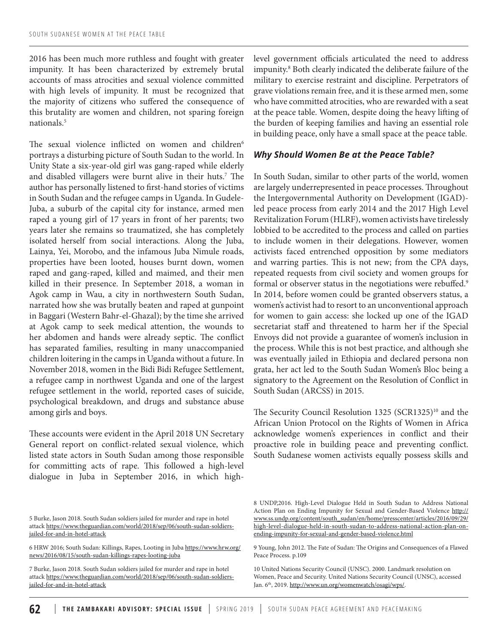2016 has been much more ruthless and fought with greater impunity. It has been characterized by extremely brutal accounts of mass atrocities and sexual violence committed with high levels of impunity. It must be recognized that the majority of citizens who suffered the consequence of this brutality are women and children, not sparing foreign nationals.5

The sexual violence inflicted on women and children<sup>6</sup> portrays a disturbing picture of South Sudan to the world. In Unity State a six-year-old girl was gang-raped while elderly and disabled villagers were burnt alive in their huts.<sup>7</sup> The author has personally listened to first-hand stories of victims in South Sudan and the refugee camps in Uganda. In Gudele-Juba, a suburb of the capital city for instance, armed men raped a young girl of 17 years in front of her parents; two years later she remains so traumatized, she has completely isolated herself from social interactions. Along the Juba, Lainya, Yei, Morobo, and the infamous Juba Nimule roads, properties have been looted, houses burnt down, women raped and gang-raped, killed and maimed, and their men killed in their presence. In September 2018, a woman in Agok camp in Wau, a city in northwestern South Sudan, narrated how she was brutally beaten and raped at gunpoint in Baggari (Western Bahr-el-Ghazal); by the time she arrived at Agok camp to seek medical attention, the wounds to her abdomen and hands were already septic. The conflict has separated families, resulting in many unaccompanied children loitering in the camps in Uganda without a future. In November 2018, women in the Bidi Bidi Refugee Settlement, a refugee camp in northwest Uganda and one of the largest refugee settlement in the world, reported cases of suicide, psychological breakdown, and drugs and substance abuse among girls and boys.

These accounts were evident in the April 2018 UN Secretary General report on conflict-related sexual violence, which listed state actors in South Sudan among those responsible for committing acts of rape. This followed a high-level dialogue in Juba in September 2016, in which highlevel government officials articulated the need to address impunity.8 Both clearly indicated the deliberate failure of the military to exercise restraint and discipline. Perpetrators of grave violations remain free, and it is these armed men, some who have committed atrocities, who are rewarded with a seat at the peace table. Women, despite doing the heavy lifting of the burden of keeping families and having an essential role in building peace, only have a small space at the peace table.

#### *Why Should Women Be at the Peace Table?*

In South Sudan, similar to other parts of the world, women are largely underrepresented in peace processes. Throughout the Intergovernmental Authority on Development (IGAD) led peace process from early 2014 and the 2017 High Level Revitalization Forum (HLRF), women activists have tirelessly lobbied to be accredited to the process and called on parties to include women in their delegations. However, women activists faced entrenched opposition by some mediators and warring parties. This is not new; from the CPA days, repeated requests from civil society and women groups for formal or observer status in the negotiations were rebuffed.<sup>9</sup> In 2014, before women could be granted observers status, a women's activist had to resort to an unconventional approach for women to gain access: she locked up one of the IGAD secretariat staff and threatened to harm her if the Special Envoys did not provide a guarantee of women's inclusion in the process. While this is not best practice, and although she was eventually jailed in Ethiopia and declared persona non grata, her act led to the South Sudan Women's Bloc being a signatory to the Agreement on the Resolution of Conflict in South Sudan (ARCSS) in 2015.

The Security Council Resolution 1325 (SCR1325)<sup>10</sup> and the African Union Protocol on the Rights of Women in Africa acknowledge women's experiences in conflict and their proactive role in building peace and preventing conflict. South Sudanese women activists equally possess skills and

10 United Nations Security Council (UNSC). 2000. Landmark resolution on Women, Peace and Security. United Nations Security Council (UNSC), accessed Jan. 6<sup>th</sup>, 2019. http://www.un.org/womenwatch/osagi/wps/.

<sup>5</sup> Burke, Jason 2018. South Sudan soldiers jailed for murder and rape in hotel attack https://www.theguardian.com/world/2018/sep/06/south-sudan-soldiersjailed-for-and-in-hotel-attack

<sup>6</sup> HRW 2016; South Sudan: Killings, Rapes, Looting in Juba https://www.hrw.org/ news/2016/08/15/south-sudan-killings-rapes-looting-juba

<sup>7</sup> Burke, Jason 2018. South Sudan soldiers jailed for murder and rape in hotel attack https://www.theguardian.com/world/2018/sep/06/south-sudan-soldiersjailed-for-and-in-hotel-attack

<sup>8</sup> UNDP,2016. High-Level Dialogue Held in South Sudan to Address National Action Plan on Ending Impunity for Sexual and Gender-Based Violence http:// www.ss.undp.org/content/south\_sudan/en/home/presscenter/articles/2016/09/29/ high-level-dialogue-held-in-south-sudan-to-address-national-action-plan-onending-impunity-for-sexual-and-gender-based-violence.html

<sup>9</sup> Young, John 2012. The Fate of Sudan: The Origins and Consequences of a Flawed Peace Process. p.109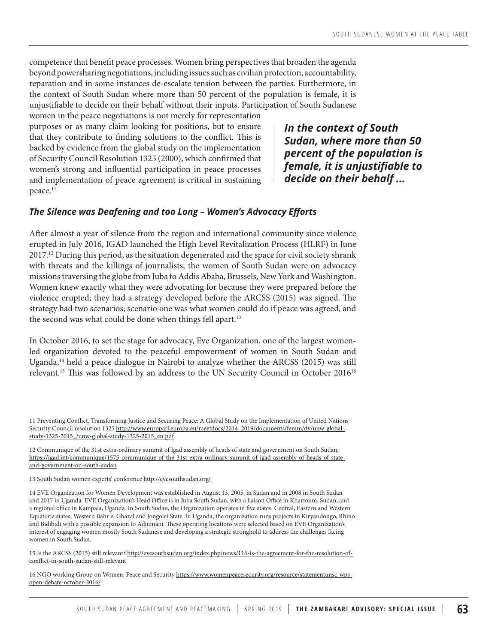competence that benefit peace processes. Women bring perspectives that broaden the agenda beyond powersharing negotiations, including issues such as civilian protection, accountability, reparation and in some instances de-escalate tension between the parties. Furthermore, in the context of South Sudan where more than 50 percent of the population is female, it is unjustifiable to decide on their behalf without their inputs. Participation of South Sudanese

women in the peace negotiations is not merely for representation purposes or as many claim looking for positions, but to ensure that they contribute to finding solutions to the conflict. This is backed by evidence from the global study on the implementation of Security Council Resolution 1325 (2000), which confirmed that women's strong and influential participation in peace processes and implementation of peace agreement is critical in sustaining peace.<sup>11</sup>

*In the context of South Sudan, where more than 50 percent of the population is female, it is unjustifiable to decide on their behalf ...*

#### *The Silence was Deafening and too Long – Women's Advocacy Efforts*

After almost a year of silence from the region and international community since violence erupted in July 2016, IGAD launched the High Level Revitalization Process (HLRF) in June 2017.<sup>12</sup> During this period, as the situation degenerated and the space for civil society shrank with threats and the killings of journalists, the women of South Sudan were on advocacy missions traversing the globe from Juba to Addis Ababa, Brussels, New York and Washington. Women knew exactly what they were advocating for because they were prepared before the violence erupted; they had a strategy developed before the ARCSS (2015) was signed. The strategy had two scenarios; scenario one was what women could do if peace was agreed, and the second was what could be done when things fell apart.<sup>13</sup>

In October 2016, to set the stage for advocacy, Eve Organization, one of the largest womenled organization devoted to the peaceful empowerment of women in South Sudan and Uganda, $14$  held a peace dialogue in Nairobi to analyze whether the ARCSS (2015) was still relevant.<sup>15</sup> This was followed by an address to the UN Security Council in October  $2016^{16}$ 

12 Communique of the 31st extra-ordinary summit of Igad assembly of heads of state and government on South Sudan, https://igad.int/communique/1575-communique-of-the-31st-extra-ordinary-summit-of-igad-assembly-of-heads-of-stateand-government-on-south-sudan

13 South Sudan women experts' conference http://evesouthsudan.org/

14 EVE Organization for Women Development was established in August 13, 2005, in Sudan and in 2008 in South Sudan and 2017 in Uganda. EVE Organization's Head Office is in Juba South Sudan, with a liaison Office in Khartoum, Sudan, and a regional office in Kampala, Uganda. In South Sudan, the Organization operates in five states. Central, Eastern and Western Equatoria states, Western Bahr el Ghazal and Jongolei State. In Uganda, the organization runs projects in Kiryandongo, Rhino and Bidibidi with a possible expansion to Adjumani. These operating locations were selected based on EVE Organization's interest of engaging women mostly South Sudanese and developing a strategic stronghold to address the challenges facing women in South Sudan.

15 Is the ARCSS (2015) still relevant? http://evesouthsudan.org/index.php/news/116-is-the-agreement-for-the-resolution-ofconflict-in-south-sudan-still-relevant

16 NGO working Group on Women, Peace and Security https://www.womenpeacesecurity.org/resource/statementunsc-wpsopen-debate-october-2016/

<sup>11</sup> Preventing Conflict, Transforming Justice and Securing Peace: A Global Study on the Implementation of United Nations Security Council resolution 1325 http://www.europarl.europa.eu/meetdocs/2014\_2019/documents/femm/dv/unw-globalstudy-1325-2015\_/unw-global-study-1325-2015\_en.pdf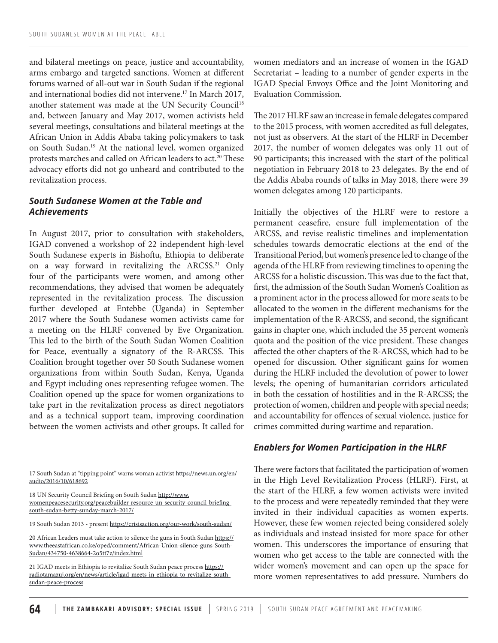and bilateral meetings on peace, justice and accountability, arms embargo and targeted sanctions. Women at different forums warned of all-out war in South Sudan if the regional and international bodies did not intervene.<sup>17</sup> In March 2017, another statement was made at the UN Security Council<sup>18</sup> and, between January and May 2017, women activists held several meetings, consultations and bilateral meetings at the African Union in Addis Ababa taking policymakers to task on South Sudan.19 At the national level, women organized protests marches and called on African leaders to act.<sup>20</sup> These advocacy efforts did not go unheard and contributed to the revitalization process.

# *South Sudanese Women at the Table and Achievements*

In August 2017, prior to consultation with stakeholders, IGAD convened a workshop of 22 independent high-level South Sudanese experts in Bishoftu, Ethiopia to deliberate on a way forward in revitalizing the ARCSS.<sup>21</sup> Only four of the participants were women, and among other recommendations, they advised that women be adequately represented in the revitalization process. The discussion further developed at Entebbe (Uganda) in September 2017 where the South Sudanese women activists came for a meeting on the HLRF convened by Eve Organization. This led to the birth of the South Sudan Women Coalition for Peace, eventually a signatory of the R-ARCSS. This Coalition brought together over 50 South Sudanese women organizations from within South Sudan, Kenya, Uganda and Egypt including ones representing refugee women. The Coalition opened up the space for women organizations to take part in the revitalization process as direct negotiators and as a technical support team, improving coordination between the women activists and other groups. It called for

17 South Sudan at "tipping point" warns woman activist https://news.un.org/en/ audio/2016/10/618692

18 UN Security Council Briefing on South Sudan http://www. womenpeacesecurity.org/peacebuilder-resource-un-security-council-briefingsouth-sudan-betty-sunday-march-2017/

19 South Sudan 2013 - present https://crisisaction.org/our-work/south-sudan/

20 African Leaders must take action to silence the guns in South Sudan https:// www.theeastafrican.co.ke/oped/comment/African-Union-silence-guns-South-Sudan/434750-4638664-2o5tt7z/index.html

21 IGAD meets in Ethiopia to revitalize South Sudan peace process https:// radiotamazuj.org/en/news/article/igad-meets-in-ethiopia-to-revitalize-southsudan-peace-process

women mediators and an increase of women in the IGAD Secretariat – leading to a number of gender experts in the IGAD Special Envoys Office and the Joint Monitoring and Evaluation Commission.

The 2017 HLRF saw an increase in female delegates compared to the 2015 process, with women accredited as full delegates, not just as observers. At the start of the HLRF in December 2017, the number of women delegates was only 11 out of 90 participants; this increased with the start of the political negotiation in February 2018 to 23 delegates. By the end of the Addis Ababa rounds of talks in May 2018, there were 39 women delegates among 120 participants.

Initially the objectives of the HLRF were to restore a permanent ceasefire, ensure full implementation of the ARCSS, and revise realistic timelines and implementation schedules towards democratic elections at the end of the Transitional Period, but women's presence led to change of the agenda of the HLRF from reviewing timelines to opening the ARCSS for a holistic discussion. This was due to the fact that, first, the admission of the South Sudan Women's Coalition as a prominent actor in the process allowed for more seats to be allocated to the women in the different mechanisms for the implementation of the R-ARCSS, and second, the significant gains in chapter one, which included the 35 percent women's quota and the position of the vice president. These changes affected the other chapters of the R-ARCSS, which had to be opened for discussion. Other significant gains for women during the HLRF included the devolution of power to lower levels; the opening of humanitarian corridors articulated in both the cessation of hostilities and in the R-ARCSS; the protection of women, children and people with special needs; and accountability for offences of sexual violence, justice for crimes committed during wartime and reparation.

#### *Enablers for Women Participation in the HLRF*

There were factors that facilitated the participation of women in the High Level Revitalization Process (HLRF). First, at the start of the HLRF, a few women activists were invited to the process and were repeatedly reminded that they were invited in their individual capacities as women experts. However, these few women rejected being considered solely as individuals and instead insisted for more space for other women. This underscores the importance of ensuring that women who get access to the table are connected with the wider women's movement and can open up the space for more women representatives to add pressure. Numbers do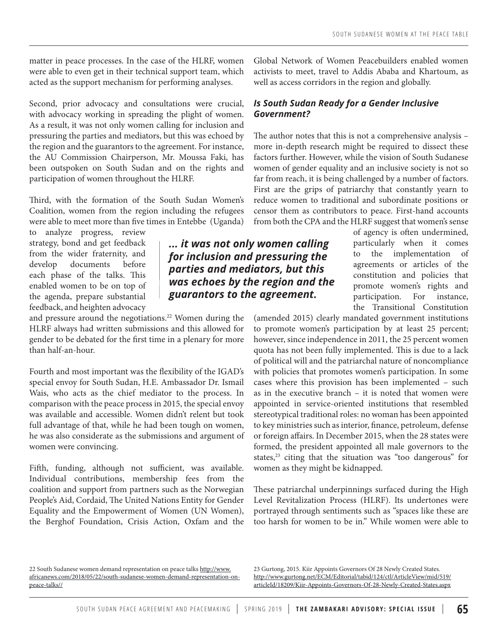matter in peace processes. In the case of the HLRF, women were able to even get in their technical support team, which acted as the support mechanism for performing analyses.

Second, prior advocacy and consultations were crucial, with advocacy working in spreading the plight of women. As a result, it was not only women calling for inclusion and pressuring the parties and mediators, but this was echoed by the region and the guarantors to the agreement. For instance, the AU Commission Chairperson, Mr. Moussa Faki, has been outspoken on South Sudan and on the rights and participation of women throughout the HLRF.

Third, with the formation of the South Sudan Women's Coalition, women from the region including the refugees were able to meet more than five times in Entebbe (Uganda)

to analyze progress, review strategy, bond and get feedback from the wider fraternity, and develop documents before each phase of the talks. This enabled women to be on top of the agenda, prepare substantial feedback, and heighten advocacy

and pressure around the negotiations.<sup>22</sup> Women during the HLRF always had written submissions and this allowed for gender to be debated for the first time in a plenary for more than half-an-hour.

Fourth and most important was the flexibility of the IGAD's special envoy for South Sudan, H.E. Ambassador Dr. Ismail Wais, who acts as the chief mediator to the process. In comparison with the peace process in 2015, the special envoy was available and accessible. Women didn't relent but took full advantage of that, while he had been tough on women, he was also considerate as the submissions and argument of women were convincing.

Fifth, funding, although not sufficient, was available. Individual contributions, membership fees from the coalition and support from partners such as the Norwegian People's Aid, Cordaid, The United Nations Entity for Gender Equality and the Empowerment of Women (UN Women), the Berghof Foundation, Crisis Action, Oxfam and the Global Network of Women Peacebuilders enabled women activists to meet, travel to Addis Ababa and Khartoum, as well as access corridors in the region and globally.

## *Is South Sudan Ready for a Gender Inclusive Government?*

The author notes that this is not a comprehensive analysis – more in-depth research might be required to dissect these factors further. However, while the vision of South Sudanese women of gender equality and an inclusive society is not so far from reach, it is being challenged by a number of factors. First are the grips of patriarchy that constantly yearn to reduce women to traditional and subordinate positions or censor them as contributors to peace. First-hand accounts from both the CPA and the HLRF suggest that women's sense

*... it was not only women calling for inclusion and pressuring the parties and mediators, but this was echoes by the region and the guarantors to the agreement.*

of agency is often undermined, particularly when it comes to the implementation of agreements or articles of the constitution and policies that promote women's rights and participation. For instance, the Transitional Constitution

(amended 2015) clearly mandated government institutions to promote women's participation by at least 25 percent; however, since independence in 2011, the 25 percent women quota has not been fully implemented. This is due to a lack of political will and the patriarchal nature of noncompliance with policies that promotes women's participation. In some cases where this provision has been implemented – such as in the executive branch – it is noted that women were appointed in service-oriented institutions that resembled stereotypical traditional roles: no woman has been appointed to key ministries such as interior, finance, petroleum, defense or foreign affairs. In December 2015, when the 28 states were formed, the president appointed all male governors to the states, $23$  citing that the situation was "too dangerous" for women as they might be kidnapped.

These patriarchal underpinnings surfaced during the High Level Revitalization Process (HLRF). Its undertones were portrayed through sentiments such as "spaces like these are too harsh for women to be in." While women were able to

22 South Sudanese women demand representation on peace talks http://www. africanews.com/2018/05/22/south-sudanese-women-demand-representation-onpeace-talks//

23 Gurtong, 2015. Kiir Appoints Governors Of 28 Newly Created States. http://www.gurtong.net/ECM/Editorial/tabid/124/ctl/ArticleView/mid/519/ articleId/18209/Kiir-Appoints-Governors-Of-28-Newly-Created-States.aspx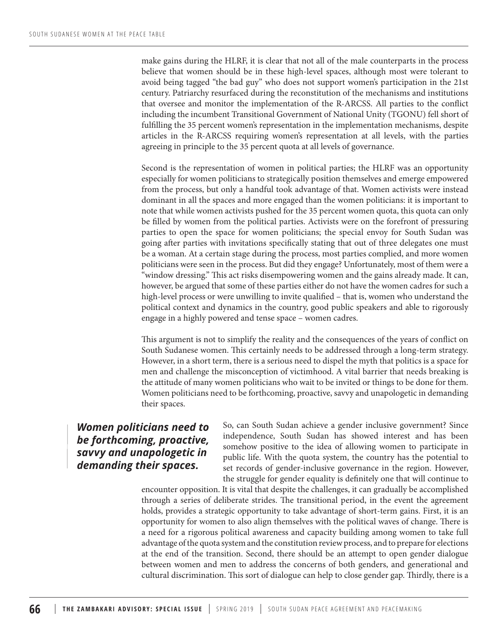make gains during the HLRF, it is clear that not all of the male counterparts in the process believe that women should be in these high-level spaces, although most were tolerant to avoid being tagged "the bad guy" who does not support women's participation in the 21st century. Patriarchy resurfaced during the reconstitution of the mechanisms and institutions that oversee and monitor the implementation of the R-ARCSS. All parties to the conflict including the incumbent Transitional Government of National Unity (TGONU) fell short of fulfilling the 35 percent women's representation in the implementation mechanisms, despite articles in the R-ARCSS requiring women's representation at all levels, with the parties agreeing in principle to the 35 percent quota at all levels of governance.

Second is the representation of women in political parties; the HLRF was an opportunity especially for women politicians to strategically position themselves and emerge empowered from the process, but only a handful took advantage of that. Women activists were instead dominant in all the spaces and more engaged than the women politicians: it is important to note that while women activists pushed for the 35 percent women quota, this quota can only be filled by women from the political parties. Activists were on the forefront of pressuring parties to open the space for women politicians; the special envoy for South Sudan was going after parties with invitations specifically stating that out of three delegates one must be a woman. At a certain stage during the process, most parties complied, and more women politicians were seen in the process. But did they engage? Unfortunately, most of them were a "window dressing." This act risks disempowering women and the gains already made. It can, however, be argued that some of these parties either do not have the women cadres for such a high-level process or were unwilling to invite qualified – that is, women who understand the political context and dynamics in the country, good public speakers and able to rigorously engage in a highly powered and tense space – women cadres.

This argument is not to simplify the reality and the consequences of the years of conflict on South Sudanese women. This certainly needs to be addressed through a long-term strategy. However, in a short term, there is a serious need to dispel the myth that politics is a space for men and challenge the misconception of victimhood. A vital barrier that needs breaking is the attitude of many women politicians who wait to be invited or things to be done for them. Women politicians need to be forthcoming, proactive, savvy and unapologetic in demanding their spaces.

# *Women politicians need to be forthcoming, proactive, savvy and unapologetic in demanding their spaces.*

So, can South Sudan achieve a gender inclusive government? Since independence, South Sudan has showed interest and has been somehow positive to the idea of allowing women to participate in public life. With the quota system, the country has the potential to set records of gender-inclusive governance in the region. However, the struggle for gender equality is definitely one that will continue to

encounter opposition. It is vital that despite the challenges, it can gradually be accomplished through a series of deliberate strides. The transitional period, in the event the agreement holds, provides a strategic opportunity to take advantage of short-term gains. First, it is an opportunity for women to also align themselves with the political waves of change. There is a need for a rigorous political awareness and capacity building among women to take full advantage of the quota system and the constitution review process, and to prepare for elections at the end of the transition. Second, there should be an attempt to open gender dialogue between women and men to address the concerns of both genders, and generational and cultural discrimination. This sort of dialogue can help to close gender gap. Thirdly, there is a